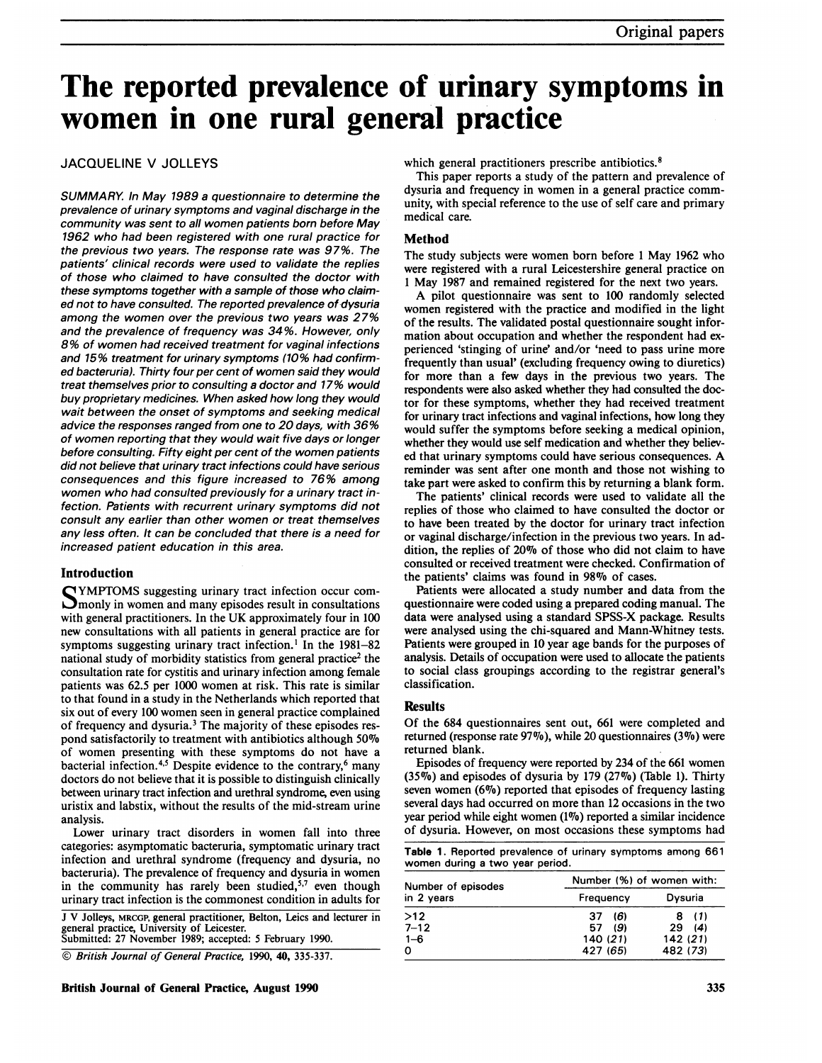# The reported prevalence of urinary symptoms in women in one rural general practice

### JACQUELINE V JOLLEYS

SUMMARY. In May 1989 a questionnaire to determine the prevalence of urinary symptoms and vaginal discharge in the community was sent to all women patients born before May 1962 who had been registered with one rural practice for the previous two years. The response rate was 97%. The patients' clinical records were used to validate the replies of those who claimed to have consulted the doctor with these symptoms together with a sample of those who claimed not to have consulted. The reported prevalence of dysuria among the women over the previous two years was 27% and the prevalence of frequency was 34%. However, only 8% of women had received treatment for vaginal infections and 15% treatment for urinary symptoms (10% had confirmed bacteruria). Thirty four per cent of women said they would treat themselves prior to consulting a doctor and 17% would buy proprietary medicines. When asked how long they would wait between the onset of symptoms and seeking medical advice the responses ranged from one to 20 days, with 36% of women reporting that they would wait five days or longer before consulting. Fifty eight per cent of the women patients did not believe that urinary tract infections could have serious consequences and this figure increased to 76% among women who had consulted previously for a urinary tract infection. Patients with recurrent urinary symptoms did not consult any earlier than other women or treat themselves any less often. It can be concluded that there is a need for increased patient education in this area.

#### Introduction

S YMPTOMS suggesting urinary tract infection occur com- $\Box$  monly in women and many episodes result in consultations with general practitioners. In the UK approximately four in <sup>100</sup> new consultations with all patients in general practice are for symptoms suggesting urinary tract infection.<sup>1</sup> In the  $1981-82$ national study of morbidity statistics from general practice<sup>2</sup> the consultation rate for cystitis and urinary infection among female patients was 62.5 per 1000 women at risk. This rate is similar to that found in a study in the Netherlands which reported that six out of every 100 women seen in general practice complained of frequency and dysuria.3 The majority of these episodes respond satisfactorily to treatment with antibiotics although 50% of women presenting with these symptoms do not have a bacterial infection.<sup>4,5</sup> Despite evidence to the contrary,<sup>6</sup> many doctors do not believe that it is possible to distinguish clinically between urinary tract infection and urethral syndrome, even using uristix and labstix, without the results of the mid-stream urine analysis.

Lower urinary tract disorders in women fall into three categories: asymptomatic bacteruria, symptomatic urinary tract infection and urethral syndrome (frequency and dysuria, no bacteruria). The prevalence of frequency and dysuria in women in the community has rarely been studied, $5,7$  even though urinary tract infection is the commonest condition in adults for

<sup>J</sup> V Jolleys, MRCGP, general practitioner, Belton, Leics and lecturer in general practice, University of Leicester. Submitted: 27 November 1989; accepted: 5 February 1990.

© British Journal of General Practice, 1990, 40, 335-337.

which general practitioners prescribe antibiotics.<sup>8</sup>

This paper reports a study of the pattern and prevalence of dysuria and frequency in women in a general practice community, with special reference to the use of self care and primary medical care.

#### Method

The study subjects were women born before <sup>1</sup> May 1962 who were registered with a rural Leicestershire general practice on <sup>1</sup> May 1987 and remained registered for the next two years.

A pilot questionnaire was sent to <sup>100</sup> randomly selected women registered with the practice and modified in the light of the results. The validated postal questionnaire sought information about occupation and whether the respondent had experienced 'stinging of urine' and/or 'need to pass urine more frequently than usual' (excluding frequency owing to diuretics) for more than a few days in the previous two years. The respondents were also asked whether they had consulted the doctor for these symptoms, whether they had received treatment for urinary tract infections and vaginal infections, how long they would suffer the symptoms before seeking a medical opinion, whether they would use self medication and whether they believed that urinary symptoms could have serious consequences. A reminder was sent after one month and those not wishing to take part were asked to confirm this by returning a blank form.

The patients' clinical records were used to validate all the replies of those who claimed to have consulted the doctor or to have been treated by the doctor for urinary tract infection or vaginal discharge/infection in the previous two years. In addition, the replies of 20% of those who did not claim to have consulted or received treatment were checked. Confirmation of the patients' claims was found in 98% of cases.

Patients were allocated a study number and data from the questionnaire were coded using a prepared coding manual. The data were analysed using a standard SPSS-X package. Results were analysed using the chi-squared and Mann-Whitney tests. Patients were grouped in 10 year age bands for the purposes of analysis. Details of occupation were used to allocate the patients to social class groupings according to the registrar general's classification.

#### **Results**

Of the 684 questionnaires sent out, 661 were completed and returned (response rate  $97\%$ ), while 20 questionnaires (3%) were returned blank.

Episodes of frequency were reported by 234 of the 661 women  $(35\%)$  and episodes of dysuria by 179 (27%) (Table 1). Thirty seven women  $(6\%)$  reported that episodes of frequency lasting several days had occurred on more than 12 occasions in the two year period while eight women (1%) reported a similar incidence of dysuria. However, on most occasions these symptoms had

Table 1. Reported prevalence of urinary symptoms among 661 women during <sup>a</sup> two year period.

| Number of episodes<br>in 2 years | Number (%) of women with: |          |  |  |
|----------------------------------|---------------------------|----------|--|--|
|                                  | Frequency                 | Dysuria  |  |  |
| >12                              | 16)<br>37                 | 8 (1)    |  |  |
| $7 - 12$                         | (9)<br>57                 | 29(4)    |  |  |
| $1 - 6$                          | 140(21)                   | 142(21)  |  |  |
| 0                                | 427 (65)                  | 482 (73) |  |  |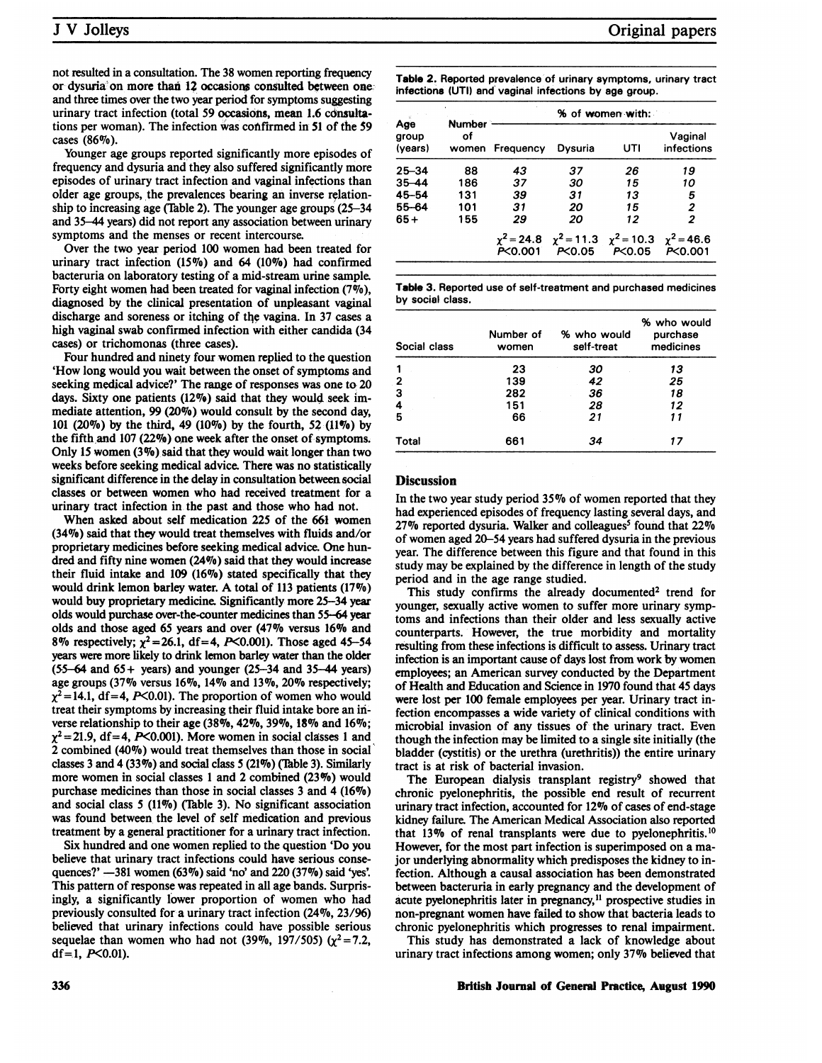not resulted in a consultation. The 38 women reporting frequency or dysuria on more than 12 occasions consulted between one: and three times over the two year period for symptoms suggesting urinary tract infection (total 59 occasions, mean 1.6 consultations per woman). The infection was cohtfirmed in 51 of the 59 cases (86%).

Younger age groups reported significantly more episodes of frequency and dysuria and they also suffered significantly more episodes of urinary tract infection and vaginal infections than older age groups, the prevalences bearing an inverse relationship to increasing age (Table 2). The younger age groups  $(25-34)$ and 35-44 years) did not report any association between urinary symptoms and the menses or recent intercourse.

Over the two year period 100 women had been treated for urinary tract infection (15%) and 64 (10%) had confirmed bacteruria on laboratory testing of a mid-stream urine sample. Forty eight women had been treated for vaginal infection (7%), diagnosed by the clinical presentation of unpleasant vaginal discharge and soreness or itching of the vagina. In 37 cases a high vaginal swab confirmed infection with either candida (34 cases) or trichomonas (three cases).

Four hundred and ninety four women replied to the question 'How long would you wait between the onset of symptoms and seeking medical advice?' The range of responses was one to 20 days. Sixty one patients (12%) said that they would seek immediate attention, 99 (20%) would consult by the second day, 101 (20%) by the third, 49 (10%) by the fourth, 52 (11%) by the fifth,and 107 (22%) one week after the onset of symptoms. Only 15 women  $(3\%)$  said that they would wait longer than two weeks before seeking medical advice. There was no statistically significant difference in the delay in consultation between social classes or between women who had received treatment for a urinary tract infection in the past and those who had not.

When asked about self medication 225 of the 661 women (34%) said that they would treat themselves with fluids and/or proprietary medicines before seeking medical advice. One hundred and fifty nine women  $(24\%)$  said that they would increase their fluid intake and  $109$  (16%) stated specifically that they would drink lemon barley water. A total of 113 patients (17%) would buy proprietary medicine. Significantly more 25-34 year olds would purchase over-the-counter medicines than 55-64 year olds and those aged 65 years and over (470o versus 16% and 8% respectively;  $\chi^2 = 26.1$ , df = 4, P<0.001). Those aged 45-54 years were more likely to drink lemon barley water than the older  $(55-64 \text{ and } 65+ \text{ years})$  and younger  $(25-34 \text{ and } 35-44 \text{ years})$ age groups (37% versus  $16\%$ ,  $14\%$  and  $13\%$ ,  $20\%$  respectively;  $\chi^2$  = 14.1, df = 4, P<0.01). The proportion of women who would treat their symptoms by increasing their fluid intake bore an inverse relationship to their age (38%, 42%, 39%, 18% and 16%;  $\chi^2$  = 21.9, df = 4, P<0.001). More women in social classes 1 and 2 combined (40%) would treat themselves than those in social classes 3 and 4 (33%) and social class  $5(21\%)$  (Table 3). Similarly more women in social classes <sup>1</sup> and 2 combined (23%) would purchase medicines than those in social classes 3 and 4 (16%) and social class  $5$  (11%) (Table 3). No significant association was found between the level of self medication and previous treatment by a general practitioner for a urinary tract infection.

Six hundred and one women replied to the question 'Do you believe that urinary tract infections could have serious consequences?' -381 women (63%) said 'no' and 220 (37%) said 'yes'. This pattern of response was repeated in all age bands. Surprisingly, a significantly lower proportion of women who had previously consulted for a urinary tract infection (24%, 23/96) believed that urinary infections could have possible serious sequelae than women who had not (39%, 197/505) ( $\chi^2$  = 7.2, df=1,  $P<0.01$ ).

Table 2. Reported prevalence of urinary symptoms, urinary tract infections (UTI) and vaginal infections by age group.

| Age<br>group<br>(years) | <b>Number</b><br>οf<br>women | % of women with: |                                                                           |          |                       |
|-------------------------|------------------------------|------------------|---------------------------------------------------------------------------|----------|-----------------------|
|                         |                              | Frequency        | Dvsuria                                                                   | UΤI      | Vaginal<br>infections |
| 25–34                   | 88                           | 43               | 37                                                                        | 26       | 19                    |
| 35-44                   | 186                          | 37               | 30                                                                        | 15       | 10                    |
| 45–54                   | 131                          | 39               | 31                                                                        | 13       | 5                     |
| 55–64                   | 101                          | -31              | 20                                                                        | 15       | 2                     |
| 65+                     | 155                          | 29               | 20                                                                        | 12       | 2                     |
|                         |                              | P<0.001          | $\chi^2$ = 24.8 $\chi^2$ = 11.3 $\chi^2$ = 10.3 $\chi^2$ = 46.6<br>PC0.05 | P < 0.05 | PC0.001               |

Table 3. Reported use of self-treatment and purchased medicines by social class.

| Social class | Number of<br>women | % who would<br>self-treat | % who would<br>purchase<br>medicines |
|--------------|--------------------|---------------------------|--------------------------------------|
|              | 23                 | 30                        | 13                                   |
| 2            | 139                | 42                        | 25                                   |
| 3            | 282                | 36                        | 18                                   |
| 4            | 151                | 28                        | 12                                   |
| 5            | 66                 | 21                        | 11                                   |
| Total        | 661                | 34                        | 17                                   |

#### **Discussion**

In the two year study period 35% of women reported that they had experienced episodes of frequency lasting several days, and  $27\%$  reported dysuria. Walker and colleagues<sup>5</sup> found that  $22\%$ of women aged 20-54 years had suffered dysuria in the previous year. The difference between this figure and that found in this study may be explained by the difference in length of the study period and in the age range studied.

This study confirms the already documented<sup>2</sup> trend for younger, sexually active women to suffer more urinary symptoms and infections than their older and less sexually active counterparts. However, the true morbidity and mortality resulting from these infections is difficult to assess. Urinary tract infection is an important cause of days lost from work by women employees; an American survey conducted by the Department of Health and Education and Science in 1970 found that 45 days were lost per 100 female employees per year. Urinary tract infection encompasses a wide variety of clinical conditions with microbial invasion of any tissues of the urinary tract. Even though the infection may be limited to a single site initially (the bladder (cystitis) or the urethra (urethritis)) the entire urinary tract is at risk of bacterial invasion.

The European dialysis transplant registry<sup>9</sup> showed that chronic pyelonephritis, the possible end result of recurrent urinary tract infection, accounted for 12% of cases of end-stage kidney failure. The American Medical Association also reported that 13% of renal transplants were due to pyelonephritis.<sup>10</sup> However, for the most part infection is superimposed on a major underlying abnormality which predisposes the kidney to infection. Although a causal association has been demonstrated between bacteruria in early pregnancy and the development of acute pyelonephritis later in pregnancy,<sup>11</sup> prospective studies in non-pregnant women have failed to show that bacteria leads to chronic pyelonephritis which progresses to renal impairment.

This study has demonstrated a lack of knowledge about urinary tract infections among women; only 37% believed that